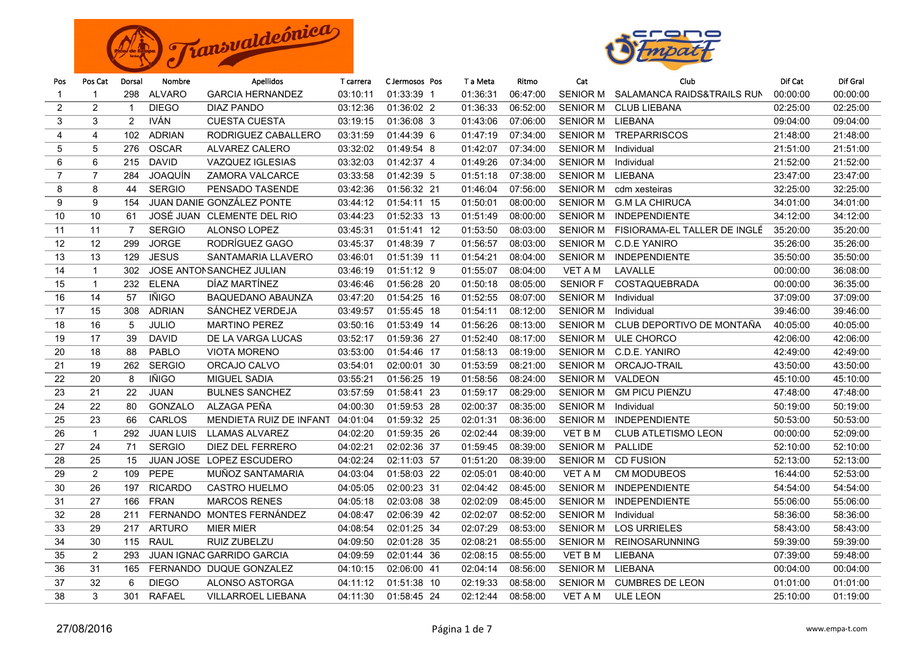



| Pos            | Pos Cat        | Dorsal         | Nombre           | Apellidos                        | T carrera | C Jermosos Pos | T a Meta | Ritmo    | Cat             | Club                         | Dif Cat  | Dif Gral |
|----------------|----------------|----------------|------------------|----------------------------------|-----------|----------------|----------|----------|-----------------|------------------------------|----------|----------|
| $\mathbf{1}$   | $\mathbf{1}$   | 298            | <b>ALVARO</b>    | <b>GARCIA HERNANDEZ</b>          | 03:10:11  | 01:33:39 1     | 01:36:31 | 06:47:00 | <b>SENIOR M</b> | SALAMANCA RAIDS&TRAILS RUN   | 00:00:00 | 00:00:00 |
| 2              | $\overline{2}$ | $\overline{1}$ | <b>DIEGO</b>     | <b>DIAZ PANDO</b>                | 03:12:36  | 01:36:02 2     | 01:36:33 | 06:52:00 | <b>SENIOR M</b> | <b>CLUB LIEBANA</b>          | 02:25:00 | 02:25:00 |
| 3              | 3              | 2              | <b>IVÁN</b>      | <b>CUESTA CUESTA</b>             | 03:19:15  | 01:36:08 3     | 01:43:06 | 07:06:00 | <b>SENIOR M</b> | LIEBANA                      | 09:04:00 | 09:04:00 |
| 4              | 4              | 102            | <b>ADRIAN</b>    | RODRIGUEZ CABALLERO              | 03:31:59  | 01:44:39 6     | 01:47:19 | 07:34:00 | <b>SENIOR M</b> | <b>TREPARRISCOS</b>          | 21:48:00 | 21:48:00 |
| 5              | 5              | 276            | <b>OSCAR</b>     | <b>ALVAREZ CALERO</b>            | 03:32:02  | 01:49:54 8     | 01:42:07 | 07:34:00 | <b>SENIOR M</b> | Individual                   | 21:51:00 | 21:51:00 |
| 6              | 6              | 215            | <b>DAVID</b>     | VAZQUEZ IGLESIAS                 | 03:32:03  | 01:42:37 4     | 01:49:26 | 07:34:00 | <b>SENIOR M</b> | Individual                   | 21:52:00 | 21:52:00 |
| $\overline{7}$ | $\overline{7}$ | 284            | <b>JOAQUÍN</b>   | <b>ZAMORA VALCARCE</b>           | 03:33:58  | 01:42:39 5     | 01:51:18 | 07:38:00 | <b>SENIOR M</b> | LIEBANA                      | 23:47:00 | 23:47:00 |
| 8              | 8              | 44             | <b>SERGIO</b>    | PENSADO TASENDE                  | 03:42:36  | 01:56:32 21    | 01:46:04 | 07:56:00 | <b>SENIOR M</b> | cdm xesteiras                | 32:25:00 | 32:25:00 |
| 9              | 9              | 154            |                  | <b>JUAN DANIE GONZÁLEZ PONTE</b> | 03:44:12  | 01:54:11 15    | 01:50:01 | 08:00:00 | <b>SENIOR M</b> | <b>G.M LA CHIRUCA</b>        | 34:01:00 | 34:01:00 |
| 10             | 10             | 61             |                  | JOSÉ JUAN CLEMENTE DEL RIO       | 03:44:23  | 01:52:33 13    | 01:51:49 | 08:00:00 | <b>SENIOR M</b> | <b>INDEPENDIENTE</b>         | 34:12:00 | 34:12:00 |
| 11             | 11             | $\overline{7}$ | <b>SERGIO</b>    | <b>ALONSO LOPEZ</b>              | 03:45:31  | 01:51:41 12    | 01:53:50 | 08:03:00 | <b>SENIOR M</b> | FISIORAMA-EL TALLER DE INGLÉ | 35:20:00 | 35:20:00 |
| 12             | 12             | 299            | <b>JORGE</b>     | RODRÍGUEZ GAGO                   | 03:45:37  | 01:48:39 7     | 01:56:57 | 08:03:00 | <b>SENIOR M</b> | <b>C.D.E YANIRO</b>          | 35:26:00 | 35:26:00 |
| 13             | 13             | 129            | <b>JESUS</b>     | SANTAMARIA LLAVERO               | 03:46:01  | 01:51:39 11    | 01:54:21 | 08:04:00 | <b>SENIOR M</b> | <b>INDEPENDIENTE</b>         | 35:50:00 | 35:50:00 |
| 14             | $\mathbf{1}$   | 302            |                  | JOSE ANTONSANCHEZ JULIAN         | 03:46:19  | 01:51:12 9     | 01:55:07 | 08:04:00 | <b>VET A M</b>  | LAVALLE                      | 00:00:00 | 36:08:00 |
| 15             | $\mathbf{1}$   | 232            | <b>ELENA</b>     | DÍAZ MARTÍNEZ                    | 03:46:46  | 01:56:28 20    | 01:50:18 | 08:05:00 | <b>SENIOR F</b> | <b>COSTAQUEBRADA</b>         | 00:00:00 | 36:35:00 |
| 16             | 14             | 57             | IÑIGO            | <b>BAQUEDANO ABAUNZA</b>         | 03:47:20  | 01:54:25 16    | 01:52:55 | 08:07:00 | <b>SENIOR M</b> | Individual                   | 37:09:00 | 37:09:00 |
| 17             | 15             | 308            | <b>ADRIAN</b>    | SÁNCHEZ VERDEJA                  | 03:49:57  | 01:55:45 18    | 01:54:11 | 08:12:00 | <b>SENIOR M</b> | Individual                   | 39:46:00 | 39:46:00 |
| 18             | 16             | 5              | <b>JULIO</b>     | <b>MARTINO PEREZ</b>             | 03:50:16  | 01:53:49 14    | 01:56:26 | 08:13:00 | <b>SENIOR M</b> | CLUB DEPORTIVO DE MONTAÑA    | 40:05:00 | 40:05:00 |
| 19             | 17             | 39             | <b>DAVID</b>     | DE LA VARGA LUCAS                | 03:52:17  | 01:59:36 27    | 01:52:40 | 08:17:00 | <b>SENIOR M</b> | ULE CHORCO                   | 42:06:00 | 42:06:00 |
| 20             | 18             | 88             | <b>PABLO</b>     | <b>VIOTA MORENO</b>              | 03:53:00  | 01:54:46 17    | 01:58:13 | 08:19:00 | <b>SENIOR M</b> | C.D.E. YANIRO                | 42:49:00 | 42:49:00 |
| 21             | 19             | 262            | <b>SERGIO</b>    | ORCAJO CALVO                     | 03:54:01  | 02:00:01 30    | 01:53:59 | 08:21:00 | <b>SENIOR M</b> | ORCAJO-TRAIL                 | 43:50:00 | 43:50:00 |
| 22             | 20             | 8              | <b>IÑIGO</b>     | <b>MIGUEL SADIA</b>              | 03:55:21  | 01:56:25 19    | 01:58:56 | 08:24:00 | <b>SENIOR M</b> | VALDEON                      | 45:10:00 | 45:10:00 |
| 23             | 21             | 22             | <b>JUAN</b>      | <b>BULNES SANCHEZ</b>            | 03:57:59  | 01:58:41 23    | 01:59:17 | 08:29:00 | <b>SENIOR M</b> | <b>GM PICU PIENZU</b>        | 47:48:00 | 47:48:00 |
| 24             | 22             | 80             | <b>GONZALO</b>   | ALZAGA PEÑA                      | 04:00:30  | 01:59:53 28    | 02:00:37 | 08:35:00 | <b>SENIOR M</b> | Individual                   | 50:19:00 | 50:19:00 |
| 25             | 23             | 66             | CARLOS           | MENDIETA RUIZ DE INFANT 04:01:04 |           | 01:59:32 25    | 02:01:31 | 08:36:00 | <b>SENIOR M</b> | <b>INDEPENDIENTE</b>         | 50:53:00 | 50:53:00 |
| 26             | $\mathbf{1}$   | 292            | <b>JUAN LUIS</b> | <b>LLAMAS ALVAREZ</b>            | 04:02:20  | 01:59:35 26    | 02:02:44 | 08:39:00 | <b>VET B M</b>  | <b>CLUB ATLETISMO LEON</b>   | 00:00:00 | 52:09:00 |
| 27             | 24             | 71             | <b>SERGIO</b>    | DIEZ DEL FERRERO                 | 04:02:21  | 02:02:36 37    | 01:59:45 | 08:39:00 | <b>SENIOR M</b> | <b>PALLIDE</b>               | 52:10:00 | 52:10:00 |
| 28             | 25             | 15             |                  | JUAN JOSE LOPEZ ESCUDERO         | 04:02:24  | 02:11:03 57    | 01:51:20 | 08:39:00 | <b>SENIOR M</b> | <b>CD FUSION</b>             | 52:13:00 | 52:13:00 |
| 29             | 2              | 109            | <b>PEPE</b>      | MUÑOZ SANTAMARIA                 | 04:03:04  | 01:58:03 22    | 02:05:01 | 08:40:00 | <b>VET A M</b>  | <b>CM MODUBEOS</b>           | 16:44:00 | 52:53:00 |
| 30             | 26             | 197            | <b>RICARDO</b>   | CASTRO HUELMO                    | 04:05:05  | 02:00:23 31    | 02:04:42 | 08:45:00 | <b>SENIOR M</b> | <b>INDEPENDIENTE</b>         | 54:54:00 | 54:54:00 |
| 31             | 27             | 166            | <b>FRAN</b>      | <b>MARCOS RENES</b>              | 04:05:18  | 02:03:08 38    | 02:02:09 | 08:45:00 | <b>SENIOR M</b> | <b>INDEPENDIENTE</b>         | 55:06:00 | 55:06:00 |
| 32             | 28             | 211            |                  | FERNANDO MONTES FERNÁNDEZ        | 04:08:47  | 02:06:39 42    | 02:02:07 | 08:52:00 | <b>SENIOR M</b> | Individual                   | 58:36:00 | 58:36:00 |
| 33             | 29             | 217            | <b>ARTURO</b>    | <b>MIER MIER</b>                 | 04:08:54  | 02:01:25 34    | 02:07:29 | 08:53:00 | <b>SENIOR M</b> | <b>LOS URRIELES</b>          | 58:43:00 | 58:43:00 |
| 34             | 30             | 115            | <b>RAUL</b>      | RUIZ ZUBELZU                     | 04:09:50  | 02:01:28 35    | 02:08:21 | 08:55:00 | <b>SENIOR M</b> | <b>REINOSARUNNING</b>        | 59:39:00 | 59:39:00 |
| 35             | $\overline{2}$ | 293            |                  | JUAN IGNAC GARRIDO GARCIA        | 04:09:59  | 02:01:44 36    | 02:08:15 | 08:55:00 | <b>VET B M</b>  | <b>LIEBANA</b>               | 07:39:00 | 59:48:00 |
| 36             | 31             | 165            |                  | FERNANDO DUQUE GONZALEZ          | 04:10:15  | 02:06:00 41    | 02:04:14 | 08:56:00 | <b>SENIOR M</b> | LIEBANA                      | 00:04:00 | 00:04:00 |
| 37             | 32             | 6              | <b>DIEGO</b>     | ALONSO ASTORGA                   | 04:11:12  | 01:51:38 10    | 02:19:33 | 08:58:00 | <b>SENIOR M</b> | <b>CUMBRES DE LEON</b>       | 01:01:00 | 01:01:00 |
| 38             | 3              | 301            | <b>RAFAEL</b>    | <b>VILLARROEL LIEBANA</b>        | 04:11:30  | 01:58:45 24    | 02:12:44 | 08:58:00 | VET A M         | <b>ULE LEON</b>              | 25:10:00 | 01:19:00 |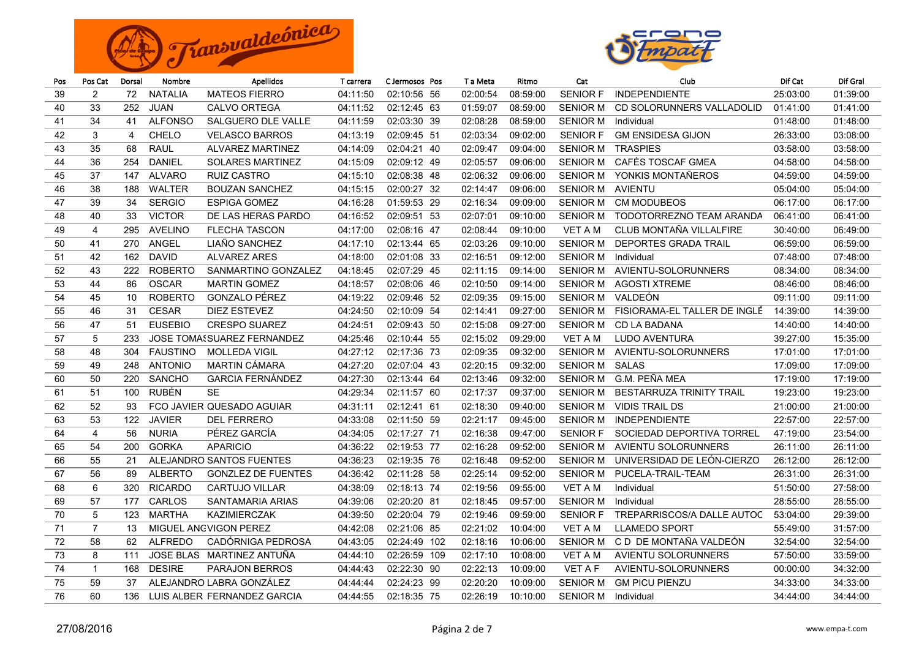



| Pos | Pos Cat        | Dorsal | Nombre          | <b>Apellidos</b>                  | T carrera | C Jermosos Pos | T a Meta | Ritmo    | Cat             | Club                            | Dif Cat  | Dif Gral |
|-----|----------------|--------|-----------------|-----------------------------------|-----------|----------------|----------|----------|-----------------|---------------------------------|----------|----------|
| 39  | 2              | 72     | <b>NATALIA</b>  | <b>MATEOS FIERRO</b>              | 04:11:50  | 02:10:56 56    | 02:00:54 | 08:59:00 | <b>SENIOR F</b> | <b>INDEPENDIENTE</b>            | 25:03:00 | 01:39:00 |
| 40  | 33             | 252    | JUAN            | <b>CALVO ORTEGA</b>               | 04:11:52  | 02:12:45 63    | 01:59:07 | 08:59:00 | <b>SENIOR M</b> | CD SOLORUNNERS VALLADOLID       | 01:41:00 | 01:41:00 |
| 41  | 34             | 41     | <b>ALFONSO</b>  | <b>SALGUERO DLE VALLE</b>         | 04:11:59  | 02:03:30 39    | 02:08:28 | 08:59:00 | <b>SENIOR M</b> | Individual                      | 01:48:00 | 01:48:00 |
| 42  | 3              | 4      | <b>CHELO</b>    | <b>VELASCO BARROS</b>             | 04:13:19  | 02:09:45 51    | 02:03:34 | 09:02:00 | <b>SENIOR F</b> | <b>GM ENSIDESA GIJON</b>        | 26:33:00 | 03:08:00 |
| 43  | 35             | 68     | <b>RAUL</b>     | <b>ALVAREZ MARTINEZ</b>           | 04:14:09  | 02:04:21 40    | 02:09:47 | 09:04:00 | <b>SENIOR M</b> | <b>TRASPIES</b>                 | 03:58:00 | 03:58:00 |
| 44  | 36             | 254    | DANIEL          | <b>SOLARES MARTINEZ</b>           | 04:15:09  | 02:09:12 49    | 02:05:57 | 09:06:00 | <b>SENIOR M</b> | CAFÉS TOSCAF GMEA               | 04:58:00 | 04:58:00 |
| 45  | 37             | 147    | <b>ALVARO</b>   | <b>RUIZ CASTRO</b>                | 04:15:10  | 02:08:38 48    | 02:06:32 | 09:06:00 | <b>SENIOR M</b> | YONKIS MONTAÑEROS               | 04:59:00 | 04:59:00 |
| 46  | 38             | 188    | <b>WALTER</b>   | <b>BOUZAN SANCHEZ</b>             | 04:15:15  | 02:00:27 32    | 02:14:47 | 09:06:00 | <b>SENIOR M</b> | <b>AVIENTU</b>                  | 05:04:00 | 05:04:00 |
| 47  | 39             | 34     | <b>SERGIO</b>   | <b>ESPIGA GOMEZ</b>               | 04:16:28  | 01:59:53 29    | 02:16:34 | 09:09:00 | <b>SENIOR M</b> | <b>CM MODUBEOS</b>              | 06:17:00 | 06:17:00 |
| 48  | 40             | 33     | <b>VICTOR</b>   | DE LAS HERAS PARDO                | 04:16:52  | 02:09:51 53    | 02:07:01 | 09:10:00 | <b>SENIOR M</b> | TODOTORREZNO TEAM ARANDA        | 06:41:00 | 06:41:00 |
| 49  | 4              | 295    | <b>AVELINO</b>  | <b>FLECHA TASCON</b>              | 04:17:00  | 02:08:16 47    | 02:08:44 | 09:10:00 | <b>VET A M</b>  | CLUB MONTAÑA VILLALFIRE         | 30:40:00 | 06:49:00 |
| 50  | 41             | 270    | ANGEL           | LIAÑO SANCHEZ                     | 04:17:10  | 02:13:44 65    | 02:03:26 | 09:10:00 | <b>SENIOR M</b> | DEPORTES GRADA TRAIL            | 06:59:00 | 06:59:00 |
| 51  | 42             | 162    | <b>DAVID</b>    | <b>ALVAREZ ARES</b>               | 04:18:00  | 02:01:08 33    | 02:16:51 | 09:12:00 | <b>SENIOR M</b> | Individual                      | 07:48:00 | 07:48:00 |
| 52  | 43             | 222    | <b>ROBERTO</b>  | SANMARTINO GONZALEZ               | 04:18:45  | 02:07:29 45    | 02:11:15 | 09:14:00 | <b>SENIOR M</b> | AVIENTU-SOLORUNNERS             | 08:34:00 | 08:34:00 |
| 53  | 44             | 86     | <b>OSCAR</b>    | <b>MARTIN GOMEZ</b>               | 04:18:57  | 02:08:06 46    | 02:10:50 | 09:14:00 | <b>SENIOR M</b> | <b>AGOSTI XTREME</b>            | 08:46:00 | 08:46:00 |
| 54  | 45             | 10     | <b>ROBERTO</b>  | GONZALO PÉREZ                     | 04:19:22  | 02:09:46 52    | 02:09:35 | 09:15:00 | <b>SENIOR M</b> | VALDEÓN                         | 09:11:00 | 09:11:00 |
| 55  | 46             | 31     | <b>CESAR</b>    | <b>DIEZ ESTEVEZ</b>               | 04:24:50  | 02:10:09 54    | 02:14:41 | 09:27:00 | <b>SENIOR M</b> | FISIORAMA-EL TALLER DE INGLÉ    | 14:39:00 | 14:39:00 |
| 56  | 47             | 51     | <b>EUSEBIO</b>  | <b>CRESPO SUAREZ</b>              | 04:24:51  | 02:09:43 50    | 02:15:08 | 09:27:00 | <b>SENIOR M</b> | CD LA BADANA                    | 14:40:00 | 14:40:00 |
| 57  | 5              | 233    |                 | <b>JOSE TOMASSUAREZ FERNANDEZ</b> | 04:25:46  | 02:10:44 55    | 02:15:02 | 09:29:00 | <b>VET A M</b>  | LUDO AVENTURA                   | 39:27:00 | 15:35:00 |
| 58  | 48             | 304    | <b>FAUSTINO</b> | <b>MOLLEDA VIGIL</b>              | 04:27:12  | 02:17:36 73    | 02:09:35 | 09:32:00 | <b>SENIOR M</b> | AVIENTU-SOLORUNNERS             | 17:01:00 | 17:01:00 |
| 59  | 49             | 248    | <b>ANTONIO</b>  | MARTIN CÁMARA                     | 04:27:20  | 02:07:04 43    | 02:20:15 | 09:32:00 | <b>SENIOR M</b> | <b>SALAS</b>                    | 17:09:00 | 17:09:00 |
| 60  | 50             | 220    | <b>SANCHO</b>   | <b>GARCIA FERNÁNDEZ</b>           | 04:27:30  | 02:13:44 64    | 02:13:46 | 09:32:00 | <b>SENIOR M</b> | G.M. PEÑA MEA                   | 17:19:00 | 17:19:00 |
| 61  | 51             | 100    | <b>RUBÉN</b>    | <b>SE</b>                         | 04:29:34  | 02:11:57 60    | 02:17:37 | 09:37:00 | <b>SENIOR M</b> | <b>BESTARRUZA TRINITY TRAIL</b> | 19:23:00 | 19:23:00 |
| 62  | 52             | 93     |                 | FCO JAVIER QUESADO AGUIAR         | 04:31:11  | 02:12:41 61    | 02:18:30 | 09:40:00 | <b>SENIOR M</b> | <b>VIDIS TRAIL DS</b>           | 21:00:00 | 21:00:00 |
| 63  | 53             | 122    | <b>JAVIER</b>   | <b>DEL FERRERO</b>                | 04:33:08  | 02:11:50 59    | 02:21:17 | 09:45:00 | <b>SENIOR M</b> | <b>INDEPENDIENTE</b>            | 22:57:00 | 22:57:00 |
| 64  | $\overline{4}$ | 56     | <b>NURIA</b>    | PÉREZ GARCÍA                      | 04:34:05  | 02:17:27 71    | 02:16:38 | 09:47:00 | <b>SENIOR F</b> | SOCIEDAD DEPORTIVA TORREL       | 47:19:00 | 23:54:00 |
| 65  | 54             | 200    | <b>GORKA</b>    | <b>APARICIO</b>                   | 04:36:22  | 02:19:53 77    | 02:16:28 | 09:52:00 | <b>SENIOR M</b> | <b>AVIENTU SOLORUNNERS</b>      | 26:11:00 | 26:11:00 |
| 66  | 55             | 21     |                 | ALEJANDRO SANTOS FUENTES          | 04:36:23  | 02:19:35 76    | 02:16:48 | 09:52:00 | <b>SENIOR M</b> | UNIVERSIDAD DE LEÓN-CIERZO      | 26:12:00 | 26:12:00 |
| 67  | 56             | 89     | <b>ALBERTO</b>  | <b>GONZLEZ DE FUENTES</b>         | 04:36:42  | 02:11:28 58    | 02:25:14 | 09:52:00 | <b>SENIOR M</b> | PUCELA-TRAIL-TEAM               | 26:31:00 | 26:31:00 |
| 68  | 6              | 320    | <b>RICARDO</b>  | <b>CARTUJO VILLAR</b>             | 04:38:09  | 02:18:13 74    | 02:19:56 | 09:55:00 | <b>VET A M</b>  | Individual                      | 51:50:00 | 27:58:00 |
| 69  | 57             | 177    | CARLOS          | SANTAMARIA ARIAS                  | 04:39:06  | 02:20:20 81    | 02:18:45 | 09:57:00 | <b>SENIOR M</b> | Individual                      | 28:55:00 | 28:55:00 |
| 70  | 5              | 123    | <b>MARTHA</b>   | <b>KAZIMIERCZAK</b>               | 04:39:50  | 02:20:04 79    | 02:19:46 | 09:59:00 | <b>SENIOR F</b> | TREPARRISCOS/A DALLE AUTOC      | 53:04:00 | 29:39:00 |
| 71  | $\overline{7}$ | 13     |                 | MIGUEL ANGVIGON PEREZ             | 04:42:08  | 02:21:06 85    | 02:21:02 | 10:04:00 | <b>VET A M</b>  | <b>LLAMEDO SPORT</b>            | 55:49:00 | 31:57:00 |
| 72  | 58             | 62     | <b>ALFREDO</b>  | CADÓRNIGA PEDROSA                 | 04:43:05  | 02:24:49 102   | 02:18:16 | 10:06:00 | <b>SENIOR M</b> | C D DE MONTAÑA VALDEÓN          | 32:54:00 | 32:54:00 |
| 73  | 8              | 111    |                 | JOSE BLAS MARTINEZ ANTUÑA         | 04:44:10  | 02:26:59 109   | 02:17:10 | 10:08:00 | VET A M         | <b>AVIENTU SOLORUNNERS</b>      | 57:50:00 | 33:59:00 |
| 74  | $\mathbf{1}$   | 168    | <b>DESIRE</b>   | <b>PARAJON BERROS</b>             | 04:44:43  | 02:22:30 90    | 02:22:13 | 10:09:00 | <b>VET A F</b>  | AVIENTU-SOLORUNNERS             | 00:00:00 | 34:32:00 |
| 75  | 59             | 37     |                 | ALEJANDRO LABRA GONZÁLEZ          | 04:44:44  | 02:24:23 99    | 02:20:20 | 10:09:00 | <b>SENIOR M</b> | <b>GM PICU PIENZU</b>           | 34:33:00 | 34:33:00 |
| 76  | 60             | 136    |                 | LUIS ALBER FERNANDEZ GARCIA       | 04:44:55  | 02:18:35 75    | 02:26:19 | 10:10:00 | <b>SENIOR M</b> | Individual                      | 34:44:00 | 34:44:00 |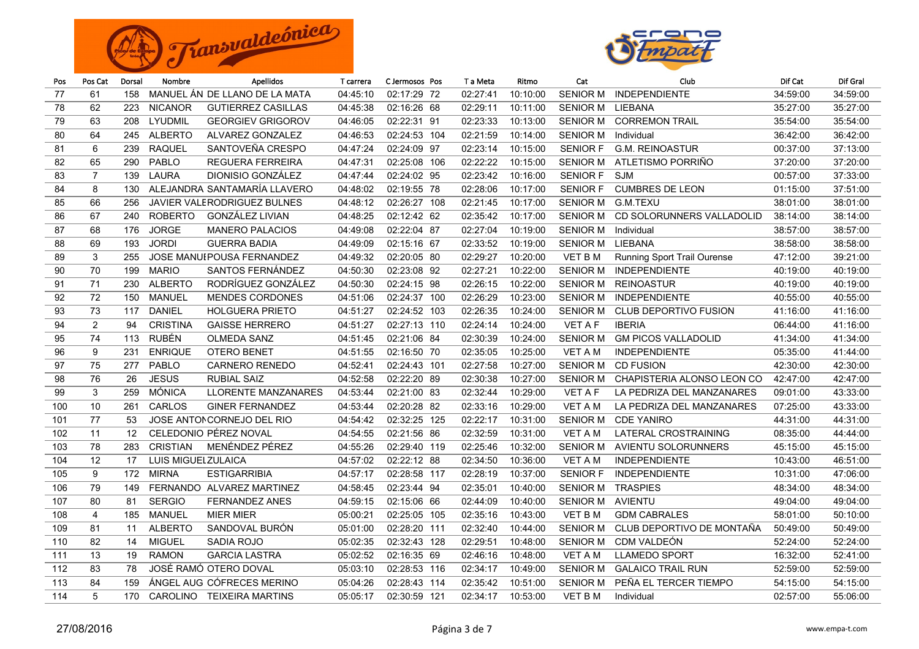



| Pos | Pos Cat          | Dorsal | Nombre             | <b>Apellidos</b>                   | T carrera | C Jermosos Pos | T a Meta | Ritmo    | Cat             | Club                        | Dif Cat  | Dif Gral |
|-----|------------------|--------|--------------------|------------------------------------|-----------|----------------|----------|----------|-----------------|-----------------------------|----------|----------|
| 77  | 61               | 158    |                    | MANUEL ÁN DE LLANO DE LA MATA      | 04:45:10  | 02:17:29 72    | 02:27:41 | 10:10:00 | <b>SENIOR M</b> | <b>INDEPENDIENTE</b>        | 34:59:00 | 34:59:00 |
| 78  | 62               | 223    | <b>NICANOR</b>     | <b>GUTIERREZ CASILLAS</b>          | 04:45:38  | 02:16:26 68    | 02:29:11 | 10:11:00 | <b>SENIOR M</b> | LIEBANA                     | 35:27:00 | 35:27:00 |
| 79  | 63               | 208    | LYUDMIL            | <b>GEORGIEV GRIGOROV</b>           | 04:46:05  | 02:22:31 91    | 02:23:33 | 10:13:00 | <b>SENIOR M</b> | <b>CORREMON TRAIL</b>       | 35:54:00 | 35:54:00 |
| 80  | 64               | 245    | <b>ALBERTO</b>     | ALVAREZ GONZALEZ                   | 04:46:53  | 02:24:53 104   | 02:21:59 | 10:14:00 | <b>SENIOR M</b> | Individual                  | 36:42:00 | 36:42:00 |
| 81  | 6                | 239    | <b>RAQUEL</b>      | SANTOVEÑA CRESPO                   | 04:47:24  | 02:24:09 97    | 02:23:14 | 10:15:00 | <b>SENIOR F</b> | <b>G.M. REINOASTUR</b>      | 00:37:00 | 37:13:00 |
| 82  | 65               | 290    | <b>PABLO</b>       | <b>REGUERA FERREIRA</b>            | 04:47:31  | 02:25:08 106   | 02:22:22 | 10:15:00 | <b>SENIOR M</b> | ATLETISMO PORRIÑO           | 37:20:00 | 37:20:00 |
| 83  | $\overline{7}$   | 139    | <b>LAURA</b>       | DIONISIO GONZÁLEZ                  | 04:47:44  | 02:24:02 95    | 02:23:42 | 10:16:00 | <b>SENIOR F</b> | <b>SJM</b>                  | 00:57:00 | 37:33:00 |
| 84  | 8                | 130    |                    | ALEJANDRA SANTAMARÍA LLAVERO       | 04:48:02  | 02:19:55 78    | 02:28:06 | 10:17:00 | <b>SENIOR F</b> | <b>CUMBRES DE LEON</b>      | 01:15:00 | 37:51:00 |
| 85  | 66               | 256    |                    | <b>JAVIER VALERODRIGUEZ BULNES</b> | 04:48:12  | 02:26:27 108   | 02:21:45 | 10:17:00 | <b>SENIOR M</b> | G.M.TEXU                    | 38:01:00 | 38:01:00 |
| 86  | 67               | 240    | <b>ROBERTO</b>     | GONZÁLEZ LIVIAN                    | 04:48:25  | 02:12:42 62    | 02:35:42 | 10:17:00 | <b>SENIOR M</b> | CD SOLORUNNERS VALLADOLID   | 38:14:00 | 38:14:00 |
| 87  | 68               | 176    | <b>JORGE</b>       | <b>MANERO PALACIOS</b>             | 04:49:08  | 02:22:04 87    | 02:27:04 | 10:19:00 | <b>SENIOR M</b> | Individual                  | 38:57:00 | 38:57:00 |
| 88  | 69               | 193    | <b>JORDI</b>       | <b>GUERRA BADIA</b>                | 04:49:09  | 02:15:16 67    | 02:33:52 | 10:19:00 | <b>SENIOR M</b> | LIEBANA                     | 38:58:00 | 38:58:00 |
| 89  | 3                | 255    |                    | JOSE MANUI POUSA FERNANDEZ         | 04:49:32  | 02:20:05 80    | 02:29:27 | 10:20:00 | VET B M         | Running Sport Trail Ourense | 47:12:00 | 39:21:00 |
| 90  | 70               | 199    | <b>MARIO</b>       | SANTOS FERNÁNDEZ                   | 04:50:30  | 02:23:08 92    | 02:27:21 | 10:22:00 | <b>SENIOR M</b> | <b>INDEPENDIENTE</b>        | 40:19:00 | 40:19:00 |
| 91  | 71               | 230    | <b>ALBERTO</b>     | RODRÍGUEZ GONZÁLEZ                 | 04:50:30  | 02:24:15 98    | 02:26:15 | 10:22:00 | <b>SENIOR M</b> | <b>REINOASTUR</b>           | 40:19:00 | 40:19:00 |
| 92  | 72               | 150    | MANUEL             | <b>MENDES CORDONES</b>             | 04:51:06  | 02:24:37 100   | 02:26:29 | 10:23:00 | <b>SENIOR M</b> | <b>INDEPENDIENTE</b>        | 40:55:00 | 40:55:00 |
| 93  | 73               | 117    | <b>DANIEL</b>      | <b>HOLGUERA PRIETO</b>             | 04:51:27  | 02:24:52 103   | 02:26:35 | 10:24:00 | <b>SENIOR M</b> | CLUB DEPORTIVO FUSION       | 41:16:00 | 41:16:00 |
| 94  | 2                | 94     | <b>CRISTINA</b>    | <b>GAISSE HERRERO</b>              | 04:51:27  | 02:27:13 110   | 02:24:14 | 10:24:00 | <b>VET A F</b>  | <b>IBERIA</b>               | 06:44:00 | 41:16:00 |
| 95  | 74               | 113    | <b>RUBÉN</b>       | <b>OLMEDA SANZ</b>                 | 04:51:45  | 02:21:06 84    | 02:30:39 | 10:24:00 | <b>SENIOR M</b> | <b>GM PICOS VALLADOLID</b>  | 41:34:00 | 41:34:00 |
| 96  | 9                | 231    | <b>ENRIQUE</b>     | <b>OTERO BENET</b>                 | 04:51:55  | 02:16:50 70    | 02:35:05 | 10:25:00 | VET A M         | <b>INDEPENDIENTE</b>        | 05:35:00 | 41:44:00 |
| 97  | 75               | 277    | PABLO              | <b>CARNERO RENEDO</b>              | 04:52:41  | 02:24:43 101   | 02:27:58 | 10:27:00 | <b>SENIOR M</b> | <b>CD FUSION</b>            | 42:30:00 | 42:30:00 |
| 98  | 76               | 26     | <b>JESUS</b>       | <b>RUBIAL SAIZ</b>                 | 04:52:58  | 02:22:20 89    | 02:30:38 | 10:27:00 | <b>SENIOR M</b> | CHAPISTERIA ALONSO LEON CO  | 42:47:00 | 42:47:00 |
| 99  | $\sqrt{3}$       | 259    | <b>MÓNICA</b>      | <b>LLORENTE MANZANARES</b>         | 04:53:44  | 02:21:00 83    | 02:32:44 | 10:29:00 | <b>VET A F</b>  | LA PEDRIZA DEL MANZANARES   | 09:01:00 | 43:33:00 |
| 100 | 10               | 261    | CARLOS             | <b>GINER FERNANDEZ</b>             | 04:53:44  | 02:20:28 82    | 02:33:16 | 10:29:00 | <b>VET A M</b>  | LA PEDRIZA DEL MANZANARES   | 07:25:00 | 43:33:00 |
| 101 | 77               | 53     |                    | JOSE ANTONCORNEJO DEL RIO          | 04:54:42  | 02:32:25 125   | 02:22:17 | 10:31:00 | <b>SENIOR M</b> | <b>CDE YANIRO</b>           | 44:31:00 | 44:31:00 |
| 102 | 11               | 12     |                    | CELEDONIO PÉREZ NOVAL              | 04:54:55  | 02:21:56 86    | 02:32:59 | 10:31:00 | VET A M         | LATERAL CROSTRAINING        | 08:35:00 | 44:44:00 |
| 103 | 78               | 283    | <b>CRISTIAN</b>    | MENÉNDEZ PÉREZ                     | 04:55:26  | 02:29:40 119   | 02:25:46 | 10:32:00 | <b>SENIOR M</b> | AVIENTU SOLORUNNERS         | 45:15:00 | 45:15:00 |
| 104 | 12               | 17     | LUIS MIGUELZULAICA |                                    | 04:57:02  | 02:22:12 88    | 02:34:50 | 10:36:00 | <b>VET A M</b>  | <b>INDEPENDIENTE</b>        | 10:43:00 | 46:51:00 |
| 105 | $\boldsymbol{9}$ | 172    | <b>MIRNA</b>       | <b>ESTIGARRIBIA</b>                | 04:57:17  | 02:28:58 117   | 02:28:19 | 10:37:00 | <b>SENIOR F</b> | <b>INDEPENDIENTE</b>        | 10:31:00 | 47:06:00 |
| 106 | 79               | 149    |                    | FERNANDO ALVAREZ MARTINEZ          | 04:58:45  | 02:23:44 94    | 02:35:01 | 10:40:00 | <b>SENIOR M</b> | <b>TRASPIES</b>             | 48:34:00 | 48:34:00 |
| 107 | 80               | 81     | <b>SERGIO</b>      | <b>FERNANDEZ ANES</b>              | 04:59:15  | 02:15:06 66    | 02:44:09 | 10:40:00 | <b>SENIOR M</b> | AVIENTU                     | 49:04:00 | 49:04:00 |
| 108 | 4                | 185    | <b>MANUEL</b>      | <b>MIER MIER</b>                   | 05:00:21  | 02:25:05 105   | 02:35:16 | 10:43:00 | <b>VET B M</b>  | <b>GDM CABRALES</b>         | 58:01:00 | 50:10:00 |
| 109 | 81               | 11     | <b>ALBERTO</b>     | SANDOVAL BURÓN                     | 05:01:00  | 02:28:20 111   | 02:32:40 | 10:44:00 | <b>SENIOR M</b> | CLUB DEPORTIVO DE MONTAÑA   | 50:49:00 | 50:49:00 |
| 110 | 82               | 14     | <b>MIGUEL</b>      | SADIA ROJO                         | 05:02:35  | 02:32:43 128   | 02:29:51 | 10:48:00 | <b>SENIOR M</b> | CDM VALDEÓN                 | 52:24:00 | 52:24:00 |
| 111 | 13               | 19     | <b>RAMON</b>       | <b>GARCIA LASTRA</b>               | 05:02:52  | 02:16:35 69    | 02:46:16 | 10:48:00 | VET A M         | <b>LLAMEDO SPORT</b>        | 16:32:00 | 52:41:00 |
| 112 | 83               | 78     |                    | JOSÉ RAMÓ OTERO DOVAL              | 05:03:10  | 02:28:53 116   | 02:34:17 | 10:49:00 | <b>SENIOR M</b> | <b>GALAICO TRAIL RUN</b>    | 52:59:00 | 52:59:00 |
| 113 | 84               | 159    |                    | ÁNGEL AUG CÓFRECES MERINO          | 05:04:26  | 02:28:43 114   | 02:35:42 | 10:51:00 | <b>SENIOR M</b> | PEÑA EL TERCER TIEMPO       | 54:15:00 | 54:15:00 |
| 114 | 5                | 170    |                    | CAROLINO TEIXEIRA MARTINS          | 05:05:17  | 02:30:59 121   | 02:34:17 | 10:53:00 | <b>VET B M</b>  | Individual                  | 02:57:00 | 55:06:00 |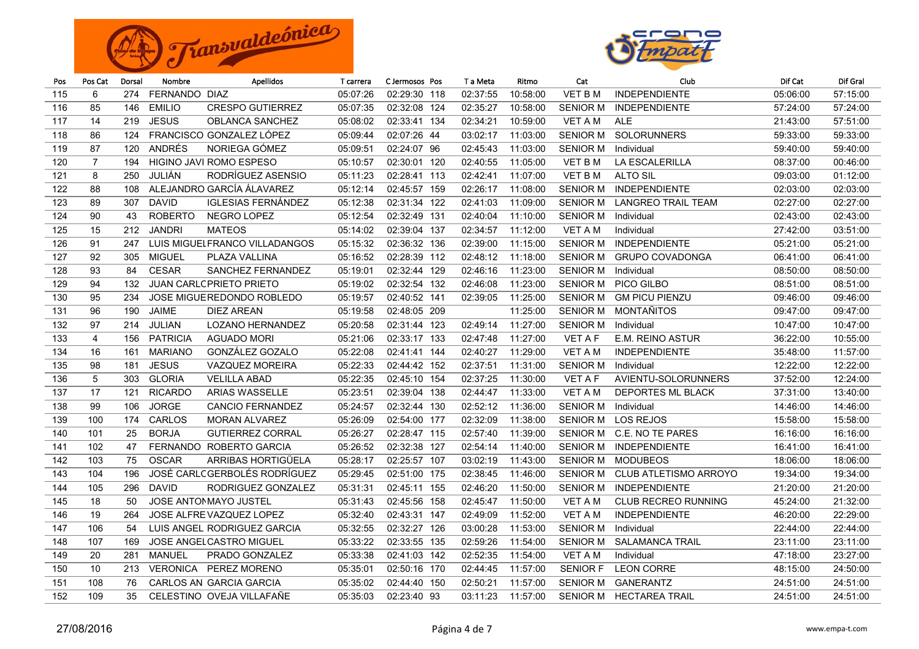



| Pos | Pos Cat        | Dorsal | Nombre          | <b>Apellidos</b>               | T carrera | C Jermosos Pos |     | T a Meta | Ritmo    | Cat             | Club                       | Dif Cat  | Dif Gral |
|-----|----------------|--------|-----------------|--------------------------------|-----------|----------------|-----|----------|----------|-----------------|----------------------------|----------|----------|
| 115 | 6              | 274    | FERNANDO DIAZ   |                                | 05:07:26  | 02:29:30 118   |     | 02:37:55 | 10:58:00 | <b>VET B M</b>  | <b>INDEPENDIENTE</b>       | 05:06:00 | 57:15:00 |
| 116 | 85             | 146    | <b>EMILIO</b>   | <b>CRESPO GUTIERREZ</b>        | 05:07:35  | 02:32:08       | 124 | 02:35:27 | 10:58:00 | <b>SENIOR M</b> | <b>INDEPENDIENTE</b>       | 57:24:00 | 57:24:00 |
| 117 | 14             | 219    | <b>JESUS</b>    | <b>OBLANCA SANCHEZ</b>         | 05:08:02  | 02:33:41 134   |     | 02:34:21 | 10:59:00 | VET A M         | <b>ALE</b>                 | 21:43:00 | 57:51:00 |
| 118 | 86             | 124    |                 | FRANCISCO GONZALEZ LÓPEZ       | 05:09:44  | 02:07:26 44    |     | 03:02:17 | 11:03:00 | <b>SENIOR M</b> | <b>SOLORUNNERS</b>         | 59:33:00 | 59:33:00 |
| 119 | 87             | 120    | ANDRÉS          | NORIEGA GÓMEZ                  | 05:09:51  | 02:24:07 96    |     | 02:45:43 | 11:03:00 | <b>SENIOR M</b> | Individual                 | 59:40:00 | 59:40:00 |
| 120 | $\overline{7}$ | 194    |                 | HIGINO JAVI ROMO ESPESO        | 05:10:57  | 02:30:01 120   |     | 02:40:55 | 11:05:00 | <b>VET BM</b>   | LA ESCALERILLA             | 08:37:00 | 00:46:00 |
| 121 | 8              | 250    | <b>JULIÁN</b>   | RODRÍGUEZ ASENSIO              | 05:11:23  | 02:28:41 113   |     | 02:42:41 | 11:07:00 | <b>VET B M</b>  | <b>ALTO SIL</b>            | 09:03:00 | 01:12:00 |
| 122 | 88             | 108    |                 | ALEJANDRO GARCÍA ÁLAVAREZ      | 05:12:14  | 02:45:57 159   |     | 02:26:17 | 11:08:00 | <b>SENIOR M</b> | <b>INDEPENDIENTE</b>       | 02:03:00 | 02:03:00 |
| 123 | 89             | 307    | <b>DAVID</b>    | <b>IGLESIAS FERNÁNDEZ</b>      | 05:12:38  | 02:31:34       | 122 | 02:41:03 | 11:09:00 | <b>SENIOR M</b> | <b>LANGREO TRAIL TEAM</b>  | 02:27:00 | 02:27:00 |
| 124 | 90             | 43     | <b>ROBERTO</b>  | NEGRO LOPEZ                    | 05:12:54  | 02:32:49       | 131 | 02:40:04 | 11:10:00 | <b>SENIOR M</b> | Individual                 | 02:43:00 | 02:43:00 |
| 125 | 15             | 212    | <b>JANDRI</b>   | <b>MATEOS</b>                  | 05:14:02  | 02:39:04       | 137 | 02:34:57 | 11:12:00 | <b>VET A M</b>  | Individual                 | 27:42:00 | 03:51:00 |
| 126 | 91             | 247    |                 | LUIS MIGUELFRANCO VILLADANGOS  | 05:15:32  | 02:36:32       | 136 | 02:39:00 | 11:15:00 | <b>SENIOR M</b> | <b>INDEPENDIENTE</b>       | 05:21:00 | 05:21:00 |
| 127 | 92             | 305    | <b>MIGUEL</b>   | PLAZA VALLINA                  | 05:16:52  | 02:28:39       | 112 | 02:48:12 | 11:18:00 | <b>SENIOR M</b> | <b>GRUPO COVADONGA</b>     | 06:41:00 | 06:41:00 |
| 128 | 93             | 84     | <b>CESAR</b>    | <b>SANCHEZ FERNANDEZ</b>       | 05:19:01  | 02:32:44       | 129 | 02:46:16 | 11:23:00 | <b>SENIOR M</b> | Individual                 | 08:50:00 | 08:50:00 |
| 129 | 94             | 132    |                 | <b>JUAN CARLCPRIETO PRIETO</b> | 05:19:02  | 02:32:54 132   |     | 02:46:08 | 11:23:00 | <b>SENIOR M</b> | PICO GILBO                 | 08:51:00 | 08:51:00 |
| 130 | 95             | 234    |                 | JOSE MIGUEREDONDO ROBLEDO      | 05:19:57  | 02:40:52 141   |     | 02:39:05 | 11:25:00 | <b>SENIOR M</b> | <b>GM PICU PIENZU</b>      | 09:46:00 | 09:46:00 |
| 131 | 96             | 190    | <b>JAIME</b>    | <b>DIEZ AREAN</b>              | 05:19:58  | 02:48:05 209   |     |          | 11:25:00 | <b>SENIOR M</b> | MONTAÑITOS                 | 09:47:00 | 09:47:00 |
| 132 | 97             | 214    | <b>JULIAN</b>   | <b>LOZANO HERNANDEZ</b>        | 05:20:58  | 02:31:44 123   |     | 02:49:14 | 11:27:00 | <b>SENIOR M</b> | Individual                 | 10:47:00 | 10:47:00 |
| 133 | $\overline{4}$ | 156    | <b>PATRICIA</b> | <b>AGUADO MORI</b>             | 05:21:06  | 02:33:17 133   |     | 02:47:48 | 11:27:00 | <b>VET A F</b>  | E.M. REINO ASTUR           | 36:22:00 | 10:55:00 |
| 134 | 16             | 161    | <b>MARIANO</b>  | GONZÁLEZ GOZALO                | 05:22:08  | 02:41:41 144   |     | 02:40:27 | 11:29:00 | <b>VET A M</b>  | <b>INDEPENDIENTE</b>       | 35:48:00 | 11:57:00 |
| 135 | 98             | 181    | <b>JESUS</b>    | <b>VAZQUEZ MOREIRA</b>         | 05:22:33  | 02:44:42 152   |     | 02:37:51 | 11:31:00 | <b>SENIOR M</b> | Individual                 | 12:22:00 | 12:22:00 |
| 136 | $\sqrt{5}$     | 303    | <b>GLORIA</b>   | <b>VELILLA ABAD</b>            | 05:22:35  | 02:45:10 154   |     | 02:37:25 | 11:30:00 | <b>VET A F</b>  | AVIENTU-SOLORUNNERS        | 37:52:00 | 12:24:00 |
| 137 | 17             | 121    | <b>RICARDO</b>  | <b>ARIAS WASSELLE</b>          | 05:23:51  | 02:39:04       | 138 | 02:44:47 | 11:33:00 | <b>VET A M</b>  | DEPORTES ML BLACK          | 37:31:00 | 13:40:00 |
| 138 | 99             | 106    | <b>JORGE</b>    | <b>CANCIO FERNANDEZ</b>        | 05:24:57  | 02:32:44       | 130 | 02:52:12 | 11:36:00 | <b>SENIOR M</b> | Individual                 | 14:46:00 | 14:46:00 |
| 139 | 100            | 174    | CARLOS          | <b>MORAN ALVAREZ</b>           | 05:26:09  | 02:54:00       | 177 | 02:32:09 | 11:38:00 | <b>SENIOR M</b> | <b>LOS REJOS</b>           | 15:58:00 | 15:58:00 |
| 140 | 101            | 25     | <b>BORJA</b>    | <b>GUTIERREZ CORRAL</b>        | 05:26:27  | 02:28:47 115   |     | 02:57:40 | 11:39:00 | <b>SENIOR M</b> | C.E. NO TE PARES           | 16:16:00 | 16:16:00 |
| 141 | 102            | 47     |                 | FERNANDO ROBERTO GARCIA        | 05:26:52  | 02:32:38       | 127 | 02:54:14 | 11:40:00 | <b>SENIOR M</b> | <b>INDEPENDIENTE</b>       | 16:41:00 | 16:41:00 |
| 142 | 103            | 75     | <b>OSCAR</b>    | ARRIBAS HORTIGÜELA             | 05:28:17  | 02:25:57       | 107 | 03:02:19 | 11:43:00 | <b>SENIOR M</b> | <b>MODUBEOS</b>            | 18:06:00 | 18:06:00 |
| 143 | 104            | 196    |                 | JOSÉ CARLCGERBOLÉS RODRÍGUEZ   | 05:29:45  | 02:51:00 175   |     | 02:38:45 | 11:46:00 | <b>SENIOR M</b> | CLUB ATLETISMO ARROYO      | 19:34:00 | 19:34:00 |
| 144 | 105            | 296    | <b>DAVID</b>    | RODRIGUEZ GONZALEZ             | 05:31:31  | 02:45:11       | 155 | 02:46:20 | 11:50:00 | <b>SENIOR M</b> | <b>INDEPENDIENTE</b>       | 21:20:00 | 21:20:00 |
| 145 | 18             | 50     |                 | <b>JOSE ANTOMMAYO JUSTEL</b>   | 05:31:43  | 02:45:56 158   |     | 02:45:47 | 11:50:00 | <b>VET A M</b>  | <b>CLUB RECREO RUNNING</b> | 45:24:00 | 21:32:00 |
| 146 | 19             | 264    |                 | <b>JOSE ALFREVAZQUEZ LOPEZ</b> | 05:32:40  | 02:43:31 147   |     | 02:49:09 | 11:52:00 | <b>VET A M</b>  | <b>INDEPENDIENTE</b>       | 46:20:00 | 22:29:00 |
| 147 | 106            | 54     |                 | LUIS ANGEL RODRIGUEZ GARCIA    | 05:32:55  | 02:32:27 126   |     | 03:00:28 | 11:53:00 | <b>SENIOR M</b> | Individual                 | 22:44:00 | 22:44:00 |
| 148 | 107            | 169    |                 | <b>JOSE ANGELCASTRO MIGUEL</b> | 05:33:22  | 02:33:55 135   |     | 02:59:26 | 11:54:00 | <b>SENIOR M</b> | <b>SALAMANCA TRAIL</b>     | 23:11:00 | 23:11:00 |
| 149 | 20             | 281    | MANUEL          | PRADO GONZALEZ                 | 05:33:38  | 02:41:03 142   |     | 02:52:35 | 11:54:00 | <b>VET A M</b>  | Individual                 | 47:18:00 | 23:27:00 |
| 150 | 10             | 213    |                 | VERONICA PEREZ MORENO          | 05:35:01  | 02:50:16 170   |     | 02:44:45 | 11:57:00 | <b>SENIOR F</b> | <b>LEON CORRE</b>          | 48:15:00 | 24:50:00 |
| 151 | 108            | 76     |                 | CARLOS AN GARCIA GARCIA        | 05:35:02  | 02:44:40       | 150 | 02:50:21 | 11:57:00 | <b>SENIOR M</b> | <b>GANERANTZ</b>           | 24:51:00 | 24:51:00 |
| 152 | 109            | 35     |                 | CELESTINO OVEJA VILLAFAÑE      | 05:35:03  | 02:23:40 93    |     | 03:11:23 | 11:57:00 | <b>SENIOR M</b> | <b>HECTAREA TRAIL</b>      | 24:51:00 | 24:51:00 |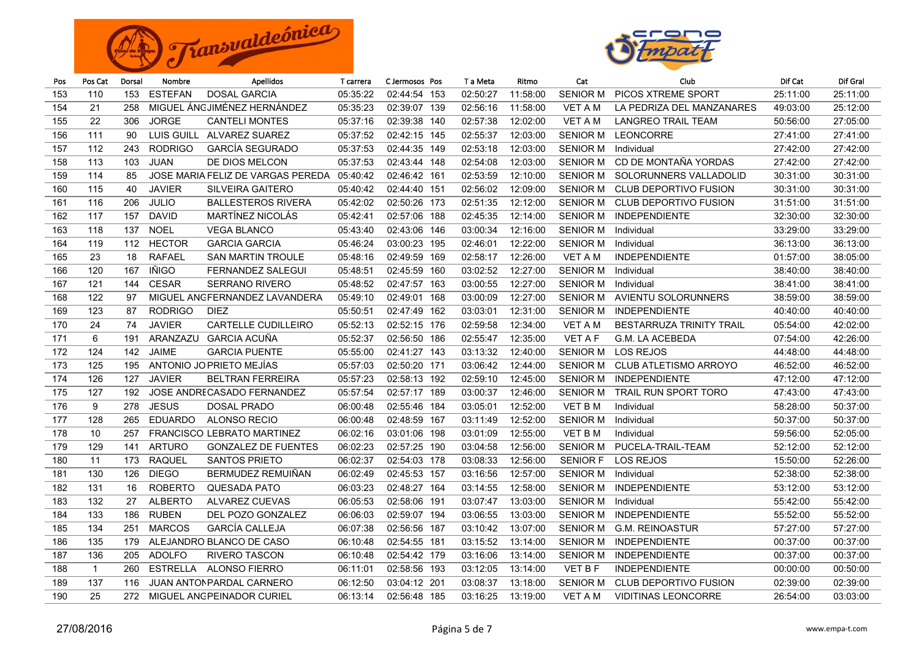



| Pos | Pos Cat        | Dorsal | Nombre          | <b>Apellidos</b>                  | T carrera | C Jermosos Pos |     | T a Meta | Ritmo    | Cat             | Club                         | Dif Cat  | Dif Gral |
|-----|----------------|--------|-----------------|-----------------------------------|-----------|----------------|-----|----------|----------|-----------------|------------------------------|----------|----------|
| 153 | 110            | 153    | <b>ESTEFAN</b>  | <b>DOSAL GARCIA</b>               | 05:35:22  | 02:44:54 153   |     | 02:50:27 | 11:58:00 | <b>SENIOR M</b> | PICOS XTREME SPORT           | 25:11:00 | 25:11:00 |
| 154 | 21             | 258    |                 | MIGUEL ÁNGJIMÉNEZ HERNÁNDEZ       | 05:35:23  | 02:39:07       | 139 | 02:56:16 | 11:58:00 | <b>VET A M</b>  | LA PEDRIZA DEL MANZANARES    | 49:03:00 | 25:12:00 |
| 155 | 22             | 306    | <b>JORGE</b>    | <b>CANTELI MONTES</b>             | 05:37:16  | 02:39:38       | 140 | 02:57:38 | 12:02:00 | <b>VET A M</b>  | <b>LANGREO TRAIL TEAM</b>    | 50:56:00 | 27:05:00 |
| 156 | 111            | 90     | LUIS GUILL      | ALVAREZ SUAREZ                    | 05:37:52  | 02:42:15 145   |     | 02:55:37 | 12:03:00 | <b>SENIOR M</b> | <b>LEONCORRE</b>             | 27:41:00 | 27:41:00 |
| 157 | 112            | 243    | <b>RODRIGO</b>  | <b>GARCÍA SEGURADO</b>            | 05:37:53  | 02:44:35       | 149 | 02:53:18 | 12:03:00 | <b>SENIOR M</b> | Individual                   | 27:42:00 | 27:42:00 |
| 158 | 113            | 103    | <b>JUAN</b>     | DE DIOS MELCON                    | 05:37:53  | 02:43:44       | 148 | 02:54:08 | 12:03:00 | <b>SENIOR M</b> | CD DE MONTAÑA YORDAS         | 27:42:00 | 27:42:00 |
| 159 | 114            | 85     |                 | JOSE MARIA FELIZ DE VARGAS PEREDA | 05:40:42  | 02:46:42 161   |     | 02:53:59 | 12:10:00 | <b>SENIOR M</b> | SOLORUNNERS VALLADOLID       | 30:31:00 | 30:31:00 |
| 160 | 115            | 40     | <b>JAVIER</b>   | SILVEIRA GAITERO                  | 05:40:42  | 02:44:40 151   |     | 02:56:02 | 12:09:00 | <b>SENIOR M</b> | <b>CLUB DEPORTIVO FUSION</b> | 30:31:00 | 30:31:00 |
| 161 | 116            | 206    | <b>JULIO</b>    | <b>BALLESTEROS RIVERA</b>         | 05:42:02  | 02:50:26       | 173 | 02:51:35 | 12:12:00 | <b>SENIOR M</b> | <b>CLUB DEPORTIVO FUSION</b> | 31:51:00 | 31:51:00 |
| 162 | 117            | 157    | <b>DAVID</b>    | MARTÍNEZ NICOLÁS                  | 05:42:41  | 02:57:06       | 188 | 02:45:35 | 12:14:00 | <b>SENIOR M</b> | <b>INDEPENDIENTE</b>         | 32:30:00 | 32:30:00 |
| 163 | 118            | 137    | <b>NOEL</b>     | <b>VEGA BLANCO</b>                | 05:43:40  | 02:43:06       | 146 | 03:00:34 | 12:16:00 | <b>SENIOR M</b> | Individual                   | 33:29:00 | 33:29:00 |
| 164 | 119            | 112    | <b>HECTOR</b>   | <b>GARCIA GARCIA</b>              | 05:46:24  | 03:00:23       | 195 | 02:46:01 | 12:22:00 | <b>SENIOR M</b> | Individual                   | 36:13:00 | 36:13:00 |
| 165 | 23             | 18     | <b>RAFAEL</b>   | <b>SAN MARTIN TROULE</b>          | 05:48:16  | 02:49:59       | 169 | 02:58:17 | 12:26:00 | VET A M         | <b>INDEPENDIENTE</b>         | 01:57:00 | 38:05:00 |
| 166 | 120            | 167    | <b>IÑIGO</b>    | <b>FERNANDEZ SALEGUI</b>          | 05:48:51  | 02:45:59       | 160 | 03:02:52 | 12:27:00 | <b>SENIOR M</b> | Individual                   | 38:40:00 | 38:40:00 |
| 167 | 121            | 144    | <b>CESAR</b>    | <b>SERRANO RIVERO</b>             | 05:48:52  | 02:47:57       | 163 | 03:00:55 | 12:27:00 | <b>SENIOR M</b> | Individual                   | 38:41:00 | 38:41:00 |
| 168 | 122            | 97     |                 | MIGUEL ANGFERNANDEZ LAVANDERA     | 05:49:10  | 02:49:01       | 168 | 03:00:09 | 12:27:00 | <b>SENIOR M</b> | <b>AVIENTU SOLORUNNERS</b>   | 38:59:00 | 38:59:00 |
| 169 | 123            | 87     | <b>RODRIGO</b>  | <b>DIEZ</b>                       | 05:50:51  | 02:47:49       | 162 | 03:03:01 | 12:31:00 | <b>SENIOR M</b> | <b>INDEPENDIENTE</b>         | 40:40:00 | 40:40:00 |
| 170 | 24             | 74     | <b>JAVIER</b>   | <b>CARTELLE CUDILLEIRO</b>        | 05:52:13  | 02:52:15 176   |     | 02:59:58 | 12:34:00 | <b>VET A M</b>  | BESTARRUZA TRINITY TRAIL     | 05:54:00 | 42:02:00 |
| 171 | 6              | 191    | ARANZAZU        | GARCIA ACUÑA                      | 05:52:37  | 02:56:50 186   |     | 02:55:47 | 12:35:00 | <b>VET A F</b>  | <b>G.M. LA ACEBEDA</b>       | 07:54:00 | 42:26:00 |
| 172 | 124            | 142    | <b>JAIME</b>    | <b>GARCIA PUENTE</b>              | 05:55:00  | 02:41:27 143   |     | 03:13:32 | 12:40:00 | <b>SENIOR M</b> | <b>LOS REJOS</b>             | 44:48:00 | 44:48:00 |
| 173 | 125            | 195    |                 | ANTONIO JO PRIETO MEJÍAS          | 05:57:03  | 02:50:20 171   |     | 03:06:42 | 12:44:00 | <b>SENIOR M</b> | <b>CLUB ATLETISMO ARROYO</b> | 46:52:00 | 46:52:00 |
| 174 | 126            | 127    | <b>JAVIER</b>   | <b>BELTRAN FERREIRA</b>           | 05:57:23  | 02:58:13 192   |     | 02:59:10 | 12:45:00 | <b>SENIOR M</b> | <b>INDEPENDIENTE</b>         | 47:12:00 | 47:12:00 |
| 175 | 127            | 192    |                 | <b>JOSE ANDRECASADO FERNANDEZ</b> | 05:57:54  | 02:57:17 189   |     | 03:00:37 | 12:46:00 | <b>SENIOR M</b> | <b>TRAIL RUN SPORT TORO</b>  | 47:43:00 | 47:43:00 |
| 176 | 9              | 278    | <b>JESUS</b>    | DOSAL PRADO                       | 06:00:48  | 02:55:46       | 184 | 03:05:01 | 12:52:00 | VET B M         | Individual                   | 58:28:00 | 50:37:00 |
| 177 | 128            | 265    | <b>EDUARDO</b>  | <b>ALONSO RECIO</b>               | 06:00:48  | 02:48:59       | 167 | 03:11:49 | 12:52:00 | <b>SENIOR M</b> | Individual                   | 50:37:00 | 50:37:00 |
| 178 | 10             | 257    |                 | <b>FRANCISCO LEBRATO MARTINEZ</b> | 06:02:16  | 03:01:06       | 198 | 03:01:09 | 12:55:00 | VET B M         | Individual                   | 59:56:00 | 52:05:00 |
| 179 | 129            | 141    | <b>ARTURO</b>   | <b>GONZALEZ DE FUENTES</b>        | 06:02:23  | 02:57:25       | 190 | 03:04:58 | 12:56:00 | <b>SENIOR M</b> | PUCELA-TRAIL-TEAM            | 52:12:00 | 52:12:00 |
| 180 | 11             | 173    | <b>RAQUEL</b>   | <b>SANTOS PRIETO</b>              | 06:02:37  | 02:54:03       | 178 | 03:08:33 | 12:56:00 | <b>SENIOR F</b> | <b>LOS REJOS</b>             | 15:50:00 | 52:26:00 |
| 181 | 130            | 126    | <b>DIEGO</b>    | BERMUDEZ REMUIÑAN                 | 06:02:49  | 02:45:53       | 157 | 03:16:56 | 12:57:00 | <b>SENIOR M</b> | Individual                   | 52:38:00 | 52:38:00 |
| 182 | 131            | 16     | <b>ROBERTO</b>  | <b>QUESADA PATO</b>               | 06:03:23  | 02:48:27       | 164 | 03:14:55 | 12:58:00 | <b>SENIOR M</b> | <b>INDEPENDIENTE</b>         | 53:12:00 | 53:12:00 |
| 183 | 132            | 27     | <b>ALBERTO</b>  | <b>ALVAREZ CUEVAS</b>             | 06:05:53  | 02:58:06       | 191 | 03:07:47 | 13:03:00 | <b>SENIOR M</b> | Individual                   | 55:42:00 | 55:42:00 |
| 184 | 133            | 186    | <b>RUBEN</b>    | DEL POZO GONZALEZ                 | 06:06:03  | 02:59:07 194   |     | 03:06:55 | 13:03:00 | <b>SENIOR M</b> | <b>INDEPENDIENTE</b>         | 55:52:00 | 55:52:00 |
| 185 | 134            | 251    | <b>MARCOS</b>   | <b>GARCÍA CALLEJA</b>             | 06:07:38  | 02:56:56 187   |     | 03:10:42 | 13:07:00 | <b>SENIOR M</b> | <b>G.M. REINOASTUR</b>       | 57:27:00 | 57:27:00 |
| 186 | 135            | 179    |                 | ALEJANDRO BLANCO DE CASO          | 06:10:48  | 02:54:55 181   |     | 03:15:52 | 13:14:00 | <b>SENIOR M</b> | <b>INDEPENDIENTE</b>         | 00:37:00 | 00:37:00 |
| 187 | 136            | 205    | <b>ADOLFO</b>   | <b>RIVERO TASCON</b>              | 06:10:48  | 02:54:42 179   |     | 03:16:06 | 13:14:00 | <b>SENIOR M</b> | <b>INDEPENDIENTE</b>         | 00:37:00 | 00:37:00 |
| 188 | $\overline{1}$ | 260    | <b>ESTRELLA</b> | <b>ALONSO FIERRO</b>              | 06:11:01  | 02:58:56       | 193 | 03:12:05 | 13:14:00 | <b>VET B F</b>  | <b>INDEPENDIENTE</b>         | 00:00:00 | 00:50:00 |
| 189 | 137            | 116    |                 | JUAN ANTONPARDAL CARNERO          | 06:12:50  | 03:04:12 201   |     | 03:08:37 | 13:18:00 | <b>SENIOR M</b> | <b>CLUB DEPORTIVO FUSION</b> | 02:39:00 | 02:39:00 |
| 190 | 25             | 272    |                 | MIGUEL ANGPEINADOR CURIEL         | 06:13:14  | 02:56:48 185   |     | 03:16:25 | 13:19:00 | VET A M         | <b>VIDITINAS LEONCORRE</b>   | 26:54:00 | 03:03:00 |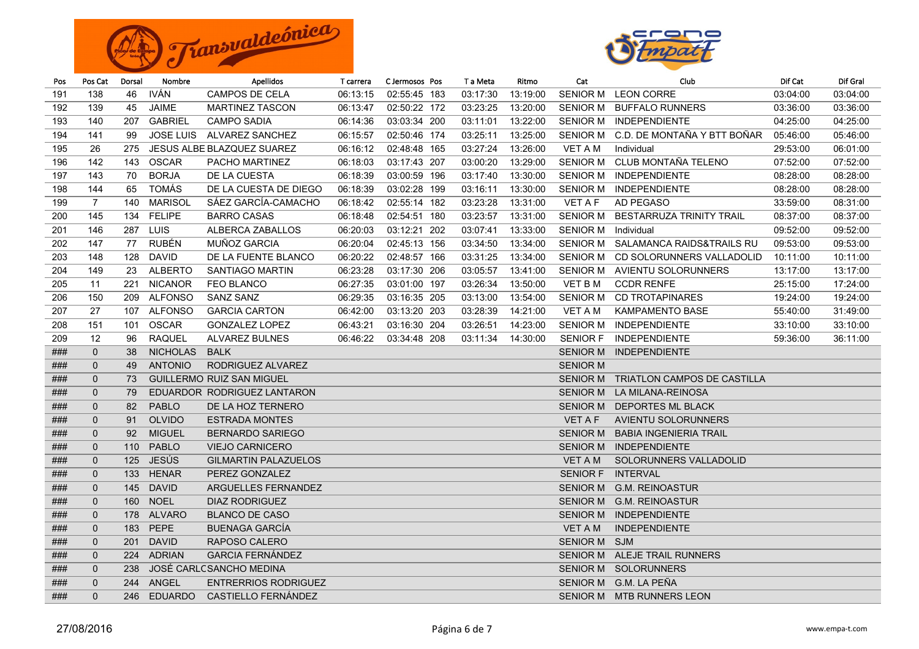



| Pos | Pos Cat           | Dorsal | Nombre          | Apellidos                        | T carrera | C Jermosos Pos | T a Meta | Ritmo    | Cat             | Club                                 | Dif Cat  | Dif Gral |
|-----|-------------------|--------|-----------------|----------------------------------|-----------|----------------|----------|----------|-----------------|--------------------------------------|----------|----------|
| 191 | 138               | 46     | <b>IVÁN</b>     | CAMPOS DE CELA                   | 06:13:15  | 02:55:45 183   | 03:17:30 | 13:19:00 | <b>SENIOR M</b> | <b>LEON CORRE</b>                    | 03:04:00 | 03:04:00 |
| 192 | 139               | 45     | <b>JAIME</b>    | <b>MARTINEZ TASCON</b>           | 06:13:47  | 02:50:22 172   | 03:23:25 | 13:20:00 | <b>SENIOR M</b> | <b>BUFFALO RUNNERS</b>               | 03:36:00 | 03:36:00 |
| 193 | 140               | 207    | <b>GABRIEL</b>  | <b>CAMPO SADIA</b>               | 06:14:36  | 03:03:34 200   | 03:11:01 | 13:22:00 |                 | SENIOR M INDEPENDIENTE               | 04:25:00 | 04:25:00 |
| 194 | 141               | 99     |                 | JOSE LUIS ALVAREZ SANCHEZ        | 06:15:57  | 02:50:46 174   | 03:25:11 | 13:25:00 | <b>SENIOR M</b> | C.D. DE MONTAÑA Y BTT BOÑAR          | 05:46:00 | 05:46:00 |
| 195 | 26                | 275    |                 | JESUS ALBE BLAZQUEZ SUAREZ       | 06:16:12  | 02:48:48 165   | 03:27:24 | 13:26:00 | VET A M         | Individual                           | 29:53:00 | 06:01:00 |
| 196 | 142               | 143    | <b>OSCAR</b>    | PACHO MARTINEZ                   | 06:18:03  | 03:17:43 207   | 03:00:20 | 13:29:00 | <b>SENIOR M</b> | CLUB MONTAÑA TELENO                  | 07:52:00 | 07:52:00 |
| 197 | 143               | 70     | <b>BORJA</b>    | DE LA CUESTA                     | 06:18:39  | 03:00:59 196   | 03:17:40 | 13:30:00 | <b>SENIOR M</b> | <b>INDEPENDIENTE</b>                 | 08:28:00 | 08:28:00 |
| 198 | 144               | 65     | TOMÁS           | DE LA CUESTA DE DIEGO            | 06:18:39  | 03:02:28 199   | 03:16:11 | 13:30:00 | <b>SENIOR M</b> | <b>INDEPENDIENTE</b>                 | 08:28:00 | 08:28:00 |
| 199 | $\overline{7}$    | 140    | MARISOL         | SÁEZ GARCÍA-CAMACHO              | 06:18:42  | 02:55:14 182   | 03:23:28 | 13:31:00 | <b>VET A F</b>  | AD PEGASO                            | 33:59:00 | 08:31:00 |
| 200 | 145               | 134    | <b>FELIPE</b>   | <b>BARRO CASAS</b>               | 06:18:48  | 02:54:51 180   | 03:23:57 | 13:31:00 | <b>SENIOR M</b> | BESTARRUZA TRINITY TRAIL             | 08:37:00 | 08:37:00 |
| 201 | 146               | 287    | LUIS            | ALBERCA ZABALLOS                 | 06:20:03  | 03:12:21 202   | 03:07:41 | 13:33:00 | <b>SENIOR M</b> | Individual                           | 09:52:00 | 09:52:00 |
| 202 | 147               | 77     | RUBÉN           | MUÑOZ GARCIA                     | 06:20:04  | 02:45:13 156   | 03:34:50 | 13:34:00 | <b>SENIOR M</b> | SALAMANCA RAIDS&TRAILS RU            | 09:53:00 | 09:53:00 |
| 203 | 148               | 128    | DAVID           | DE LA FUENTE BLANCO              | 06:20:22  | 02:48:57 166   | 03:31:25 | 13:34:00 | <b>SENIOR M</b> | CD SOLORUNNERS VALLADOLID            | 10:11:00 | 10:11:00 |
| 204 | 149               | 23     | <b>ALBERTO</b>  | SANTIAGO MARTIN                  | 06:23:28  | 03:17:30 206   | 03:05:57 | 13:41:00 | <b>SENIOR M</b> | AVIENTU SOLORUNNERS                  | 13:17:00 | 13:17:00 |
| 205 | 11                | 221    | <b>NICANOR</b>  | <b>FEO BLANCO</b>                | 06:27:35  | 03:01:00 197   | 03:26:34 | 13:50:00 | VET B M         | <b>CCDR RENFE</b>                    | 25:15:00 | 17:24:00 |
| 206 | 150               | 209    | ALFONSO         | <b>SANZ SANZ</b>                 | 06:29:35  | 03:16:35 205   | 03:13:00 | 13:54:00 | <b>SENIOR M</b> | <b>CD TROTAPINARES</b>               | 19:24:00 | 19:24:00 |
| 207 | 27                | 107    | ALFONSO         | <b>GARCIA CARTON</b>             | 06:42:00  | 03:13:20 203   | 03:28:39 | 14:21:00 | VET A M         | <b>KAMPAMENTO BASE</b>               | 55:40:00 | 31:49:00 |
| 208 | 151               | 101    | <b>OSCAR</b>    | <b>GONZALEZ LOPEZ</b>            | 06:43:21  | 03:16:30 204   | 03:26:51 | 14:23:00 | <b>SENIOR M</b> | INDEPENDIENTE                        | 33:10:00 | 33:10:00 |
| 209 | $12 \overline{ }$ | 96     | <b>RAQUEL</b>   | <b>ALVAREZ BULNES</b>            | 06:46:22  | 03:34:48 208   | 03:11:34 | 14:30:00 | <b>SENIOR F</b> | <b>INDEPENDIENTE</b>                 | 59:36:00 | 36:11:00 |
| ### | $\mathbf{0}$      | 38     | <b>NICHOLAS</b> | <b>BALK</b>                      |           |                |          |          | <b>SENIOR M</b> | <b>INDEPENDIENTE</b>                 |          |          |
| ### | $\mathbf{0}$      | 49     | <b>ANTONIO</b>  | RODRIGUEZ ALVAREZ                |           |                |          |          | <b>SENIOR M</b> |                                      |          |          |
| ### | $\mathbf{0}$      | 73     |                 | <b>GUILLERMO RUIZ SAN MIGUEL</b> |           |                |          |          |                 | SENIOR M TRIATLON CAMPOS DE CASTILLA |          |          |
| ### | $\mathbf{0}$      | 79     |                 | EDUARDOR RODRIGUEZ LANTARON      |           |                |          |          |                 | SENIOR M LA MILANA-REINOSA           |          |          |
| ### | $\mathbf{0}$      | 82     | PABLO           | DE LA HOZ TERNERO                |           |                |          |          |                 | SENIOR M DEPORTES ML BLACK           |          |          |
| ### | $\mathbf{0}$      | 91     | <b>OLVIDO</b>   | <b>ESTRADA MONTES</b>            |           |                |          |          | <b>VET A F</b>  | <b>AVIENTU SOLORUNNERS</b>           |          |          |
| ### | $\mathbf 0$       | 92     | <b>MIGUEL</b>   | <b>BERNARDO SARIEGO</b>          |           |                |          |          | <b>SENIOR M</b> | <b>BABIA INGENIERIA TRAIL</b>        |          |          |
| ### | $\mathbf 0$       | 110    | PABLO           | <b>VIEJO CARNICERO</b>           |           |                |          |          | <b>SENIOR M</b> | <b>INDEPENDIENTE</b>                 |          |          |
| ### | $\mathbf{0}$      | 125    | <b>JESÚS</b>    | <b>GILMARTIN PALAZUELOS</b>      |           |                |          |          | VET A M         | SOLORUNNERS VALLADOLID               |          |          |
| ### | $\mathbf 0$       | 133    | <b>HENAR</b>    | PEREZ GONZALEZ                   |           |                |          |          | <b>SENIOR F</b> | <b>INTERVAL</b>                      |          |          |
| ### | $\mathbf 0$       | 145    | <b>DAVID</b>    | ARGUELLES FERNANDEZ              |           |                |          |          | <b>SENIOR M</b> | <b>G.M. REINOASTUR</b>               |          |          |
| ### | $\mathbf{0}$      | 160    | <b>NOEL</b>     | <b>DIAZ RODRIGUEZ</b>            |           |                |          |          | <b>SENIOR M</b> | <b>G.M. REINOASTUR</b>               |          |          |
| ### | $\mathbf 0$       | 178    | ALVARO          | <b>BLANCO DE CASO</b>            |           |                |          |          | <b>SENIOR M</b> | <b>INDEPENDIENTE</b>                 |          |          |
| ### | $\mathbf{0}$      | 183    | PEPE            | <b>BUENAGA GARCÍA</b>            |           |                |          |          | VET A M         | <b>INDEPENDIENTE</b>                 |          |          |
| ### | $\mathbf{0}$      | 201    | <b>DAVID</b>    | RAPOSO CALERO                    |           |                |          |          | SENIOR M SJM    |                                      |          |          |
| ### | $\mathbf{0}$      | 224    | <b>ADRIAN</b>   | <b>GARCIA FERNANDEZ</b>          |           |                |          |          |                 | SENIOR M ALEJE TRAIL RUNNERS         |          |          |
| ### | $\mathbf{0}$      | 238    |                 | JOSÉ CARLCSANCHO MEDINA          |           |                |          |          |                 | SENIOR M SOLORUNNERS                 |          |          |
| ### | $\mathbf 0$       | 244    | ANGEL           | <b>ENTRERRIOS RODRIGUEZ</b>      |           |                |          |          |                 | SENIOR M G.M. LA PEÑA                |          |          |
| ### | $\Omega$          | 246    |                 | EDUARDO CASTIELLO FERNANDEZ      |           |                |          |          |                 | SENIOR M MTB RUNNERS LEON            |          |          |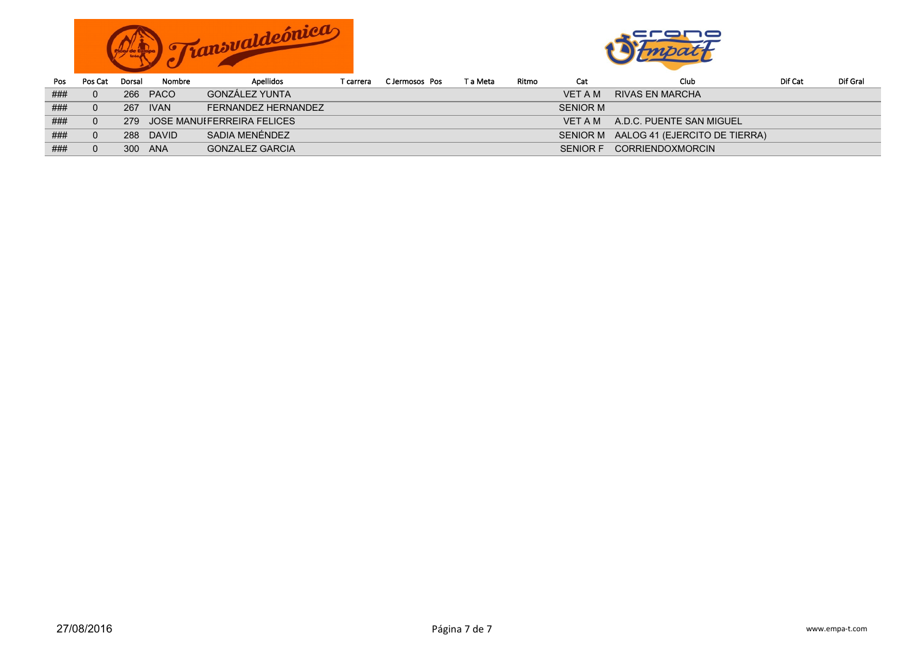



| Pos | Pos Cat | Dorsal | Nombre      | <b>Apellidos</b>               | T carrera | C Jermosos Pos | T a Meta | Ritmo | Cat             | Club                                   | Dif Cat | Dif Gral |
|-----|---------|--------|-------------|--------------------------------|-----------|----------------|----------|-------|-----------------|----------------------------------------|---------|----------|
| ### |         |        | 266 PACO    | GONZÁLEZ YUNTA                 |           |                |          |       | <b>VET A M</b>  | RIVAS EN MARCHA                        |         |          |
| ### |         | 267    | <b>IVAN</b> | FERNANDEZ HERNANDEZ            |           |                |          |       | <b>SENIOR M</b> |                                        |         |          |
| ### |         |        |             | 279 JOSE MANUIFERREIRA FELICES |           |                |          |       | VFT A M         | A.D.C. PUENTE SAN MIGUEL               |         |          |
| ### |         |        | 288 DAVID   | SADIA MENÉNDEZ                 |           |                |          |       |                 | SENIOR M AALOG 41 (EJERCITO DE TIERRA) |         |          |
| ### |         | 300    | ANA         | <b>GONZALEZ GARCIA</b>         |           |                |          |       | <b>SENIOR F</b> | <b>CORRIENDOXMORCIN</b>                |         |          |